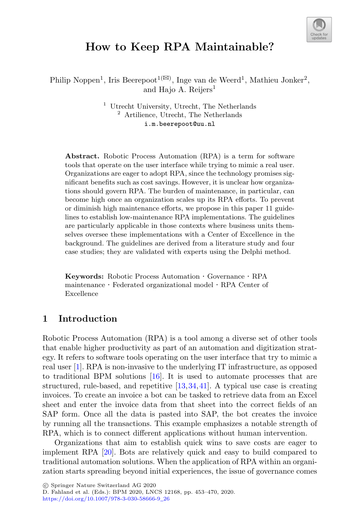

# **How to Keep RPA Maintainable?**

Philip Noppen<sup>1</sup>, Iris Beerepoot<sup>1( $\boxtimes$ )</sup>, Inge van de Weerd<sup>1</sup>, Mathieu Jonker<sup>2</sup>, and Hajo A. Reijers<sup>1</sup>

> <sup>1</sup> Utrecht University, Utrecht, The Netherlands <sup>2</sup> Artilience, Utrecht, The Netherlands i.m.beerepoot@uu.nl

**Abstract.** Robotic Process Automation (RPA) is a term for software tools that operate on the user interface while trying to mimic a real user. Organizations are eager to adopt RPA, since the technology promises significant benefits such as cost savings. However, it is unclear how organizations should govern RPA. The burden of maintenance, in particular, can become high once an organization scales up its RPA efforts. To prevent or diminish high maintenance efforts, we propose in this paper 11 guidelines to establish low-maintenance RPA implementations. The guidelines are particularly applicable in those contexts where business units themselves oversee these implementations with a Center of Excellence in the background. The guidelines are derived from a literature study and four case studies; they are validated with experts using the Delphi method.

**Keywords:** Robotic Process Automation *·* Governance *·* RPA maintenance *·* Federated organizational model *·* RPA Center of Excellence

### **1 Introduction**

Robotic Process Automation (RPA) is a tool among a diverse set of other tools that enable higher productivity as part of an automation and digitization strategy. It refers to software tools operating on the user interface that try to mimic a real user [\[1](#page-15-0)]. RPA is non-invasive to the underlying IT infrastructure, as opposed to traditional BPM solutions [\[16](#page-15-1)]. It is used to automate processes that are structured, rule-based, and repetitive [\[13,](#page-15-2)[34](#page-16-0)[,41](#page-17-0)]. A typical use case is creating invoices. To create an invoice a bot can be tasked to retrieve data from an Excel sheet and enter the invoice data from that sheet into the correct fields of an SAP form. Once all the data is pasted into SAP, the bot creates the invoice by running all the transactions. This example emphasizes a notable strength of RPA, which is to connect different applications without human intervention.

Organizations that aim to establish quick wins to save costs are eager to implement RPA [\[20\]](#page-16-1). Bots are relatively quick and easy to build compared to traditional automation solutions. When the application of RPA within an organization starts spreading beyond initial experiences, the issue of governance comes

-c Springer Nature Switzerland AG 2020

D. Fahland et al. (Eds.): BPM 2020, LNCS 12168, pp. 453–470, 2020. [https://doi.org/10.1007/978-3-030-58666-9](https://doi.org/10.1007/978-3-030-58666-9_26)\_26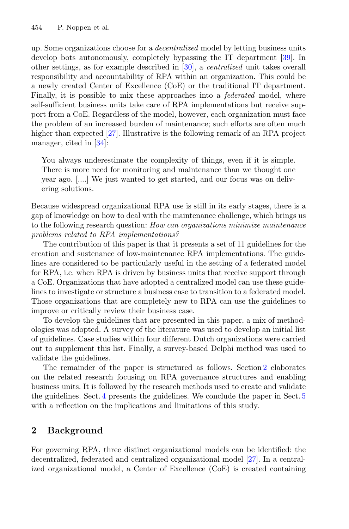up. Some organizations choose for a *decentralized* model by letting business units develop bots autonomously, completely bypassing the IT department [\[39](#page-17-1)]. In other settings, as for example described in [\[30\]](#page-16-2), a *centralized* unit takes overall responsibility and accountability of RPA within an organization. This could be a newly created Center of Excellence (CoE) or the traditional IT department. Finally, it is possible to mix these approaches into a *federated* model, where self-sufficient business units take care of RPA implementations but receive support from a CoE. Regardless of the model, however, each organization must face the problem of an increased burden of maintenance; such efforts are often much higher than expected [\[27](#page-16-3)]. Illustrative is the following remark of an RPA project manager, cited in [\[34](#page-16-0)]:

You always underestimate the complexity of things, even if it is simple. There is more need for monitoring and maintenance than we thought one year ago. [....] We just wanted to get started, and our focus was on delivering solutions.

Because widespread organizational RPA use is still in its early stages, there is a gap of knowledge on how to deal with the maintenance challenge, which brings us to the following research question: *How can organizations minimize maintenance problems related to RPA implementations?*

The contribution of this paper is that it presents a set of 11 guidelines for the creation and sustenance of low-maintenance RPA implementations. The guidelines are considered to be particularly useful in the setting of a federated model for RPA, i.e. when RPA is driven by business units that receive support through a CoE. Organizations that have adopted a centralized model can use these guidelines to investigate or structure a business case to transition to a federated model. Those organizations that are completely new to RPA can use the guidelines to improve or critically review their business case.

To develop the guidelines that are presented in this paper, a mix of methodologies was adopted. A survey of the literature was used to develop an initial list of guidelines. Case studies within four different Dutch organizations were carried out to supplement this list. Finally, a survey-based Delphi method was used to validate the guidelines.

The remainder of the paper is structured as follows. Section [2](#page-1-0) elaborates on the related research focusing on RPA governance structures and enabling business units. It is followed by the research methods used to create and validate the guidelines. Sect. [4](#page-8-0) presents the guidelines. We conclude the paper in Sect. [5](#page-14-0) with a reflection on the implications and limitations of this study.

## <span id="page-1-0"></span>**2 Background**

For governing RPA, three distinct organizational models can be identified: the decentralized, federated and centralized organizational model [\[27\]](#page-16-3). In a centralized organizational model, a Center of Excellence (CoE) is created containing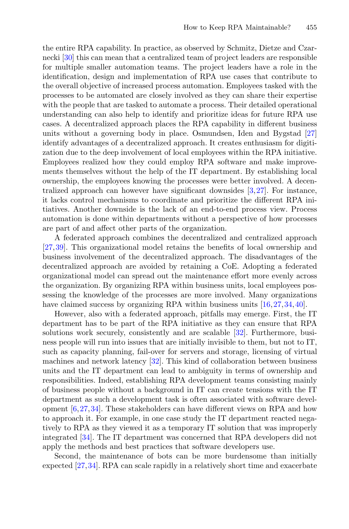the entire RPA capability. In practice, as observed by Schmitz, Dietze and Czarnecki [\[30\]](#page-16-2) this can mean that a centralized team of project leaders are responsible for multiple smaller automation teams. The project leaders have a role in the identification, design and implementation of RPA use cases that contribute to the overall objective of increased process automation. Employees tasked with the processes to be automated are closely involved as they can share their expertise with the people that are tasked to automate a process. Their detailed operational understanding can also help to identify and prioritize ideas for future RPA use cases. A decentralized approach places the RPA capability in different business units without a governing body in place. Osmundsen, Iden and Bygstad [\[27\]](#page-16-3) identify advantages of a decentralized approach. It creates enthusiasm for digitization due to the deep involvement of local employees within the RPA initiative. Employees realized how they could employ RPA software and make improvements themselves without the help of the IT department. By establishing local ownership, the employees knowing the processes were better involved. A decentralized approach can however have significant downsides [\[3](#page-15-3),[27\]](#page-16-3). For instance, it lacks control mechanisms to coordinate and prioritize the different RPA initiatives. Another downside is the lack of an end-to-end process view. Process automation is done within departments without a perspective of how processes are part of and affect other parts of the organization.

A federated approach combines the decentralized and centralized approach [\[27](#page-16-3)[,39](#page-17-1)]. This organizational model retains the benefits of local ownership and business involvement of the decentralized approach. The disadvantages of the decentralized approach are avoided by retaining a CoE. Adopting a federated organizational model can spread out the maintenance effort more evenly across the organization. By organizing RPA within business units, local employees possessing the knowledge of the processes are more involved. Many organizations have claimed success by organizing RPA within business units  $[16, 27, 34, 40]$  $[16, 27, 34, 40]$  $[16, 27, 34, 40]$ .

However, also with a federated approach, pitfalls may emerge. First, the IT department has to be part of the RPA initiative as they can ensure that RPA solutions work securely, consistently and are scalable [\[32\]](#page-16-4). Furthermore, business people will run into issues that are initially invisible to them, but not to IT, such as capacity planning, fail-over for servers and storage, licensing of virtual machines and network latency [\[32\]](#page-16-4). This kind of collaboration between business units and the IT department can lead to ambiguity in terms of ownership and responsibilities. Indeed, establishing RPA development teams consisting mainly of business people without a background in IT can create tensions with the IT department as such a development task is often associated with software development [\[6,](#page-15-4)[27,](#page-16-3)[34](#page-16-0)]. These stakeholders can have different views on RPA and how to approach it. For example, in one case study the IT department reacted negatively to RPA as they viewed it as a temporary IT solution that was improperly integrated [\[34](#page-16-0)]. The IT department was concerned that RPA developers did not apply the methods and best practices that software developers use.

Second, the maintenance of bots can be more burdensome than initially expected [\[27](#page-16-3),[34\]](#page-16-0). RPA can scale rapidly in a relatively short time and exacerbate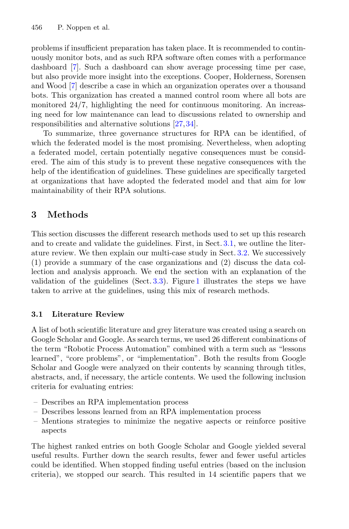problems if insufficient preparation has taken place. It is recommended to continuously monitor bots, and as such RPA software often comes with a performance dashboard [\[7\]](#page-15-5). Such a dashboard can show average processing time per case, but also provide more insight into the exceptions. Cooper, Holderness, Sorensen and Wood [\[7\]](#page-15-5) describe a case in which an organization operates over a thousand bots. This organization has created a manned control room where all bots are monitored 24/7, highlighting the need for continuous monitoring. An increasing need for low maintenance can lead to discussions related to ownership and responsibilities and alternative solutions [\[27](#page-16-3)[,34](#page-16-0)].

To summarize, three governance structures for RPA can be identified, of which the federated model is the most promising. Nevertheless, when adopting a federated model, certain potentially negative consequences must be considered. The aim of this study is to prevent these negative consequences with the help of the identification of guidelines. These guidelines are specifically targeted at organizations that have adopted the federated model and that aim for low maintainability of their RPA solutions.

## **3 Methods**

This section discusses the different research methods used to set up this research and to create and validate the guidelines. First, in Sect. [3.1,](#page-3-0) we outline the literature review. We then explain our multi-case study in Sect. [3.2.](#page-5-0) We successively (1) provide a summary of the case organizations and (2) discuss the data collection and analysis approach. We end the section with an explanation of the validation of the guidelines (Sect. [3.3\)](#page-6-0). Figure [1](#page-4-0) illustrates the steps we have taken to arrive at the guidelines, using this mix of research methods.

#### <span id="page-3-0"></span>**3.1 Literature Review**

A list of both scientific literature and grey literature was created using a search on Google Scholar and Google. As search terms, we used 26 different combinations of the term "Robotic Process Automation" combined with a term such as "lessons learned", "core problems", or "implementation". Both the results from Google Scholar and Google were analyzed on their contents by scanning through titles, abstracts, and, if necessary, the article contents. We used the following inclusion criteria for evaluating entries:

- Describes an RPA implementation process
- Describes lessons learned from an RPA implementation process
- Mentions strategies to minimize the negative aspects or reinforce positive aspects

The highest ranked entries on both Google Scholar and Google yielded several useful results. Further down the search results, fewer and fewer useful articles could be identified. When stopped finding useful entries (based on the inclusion criteria), we stopped our search. This resulted in 14 scientific papers that we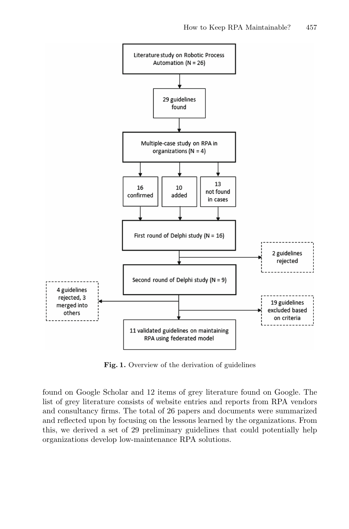

<span id="page-4-0"></span>**Fig. 1.** Overview of the derivation of guidelines

found on Google Scholar and 12 items of grey literature found on Google. The list of grey literature consists of website entries and reports from RPA vendors and consultancy firms. The total of 26 papers and documents were summarized and reflected upon by focusing on the lessons learned by the organizations. From this, we derived a set of 29 preliminary guidelines that could potentially help organizations develop low-maintenance RPA solutions.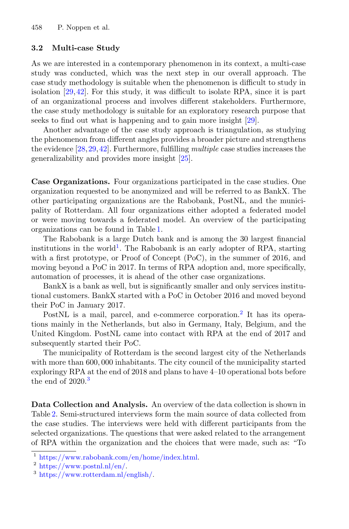#### <span id="page-5-0"></span>**3.2 Multi-case Study**

As we are interested in a contemporary phenomenon in its context, a multi-case study was conducted, which was the next step in our overall approach. The case study methodology is suitable when the phenomenon is difficult to study in isolation [\[29](#page-16-5)[,42](#page-17-3)]. For this study, it was difficult to isolate RPA, since it is part of an organizational process and involves different stakeholders. Furthermore, the case study methodology is suitable for an exploratory research purpose that seeks to find out what is happening and to gain more insight [\[29](#page-16-5)].

Another advantage of the case study approach is triangulation, as studying the phenomenon from different angles provides a broader picture and strengthens the evidence [\[28](#page-16-6)[,29](#page-16-5),[42\]](#page-17-3). Furthermore, fulfilling *multiple* case studies increases the generalizability and provides more insight [\[25](#page-16-7)].

**Case Organizations.** Four organizations participated in the case studies. One organization requested to be anonymized and will be referred to as BankX. The other participating organizations are the Rabobank, PostNL, and the municipality of Rotterdam. All four organizations either adopted a federated model or were moving towards a federated model. An overview of the participating organizations can be found in Table [1.](#page-6-1)

The Rabobank is a large Dutch bank and is among the 30 largest financial institutions in the world<sup>[1](#page-5-1)</sup>. The Rabobank is an early adopter of RPA, starting with a first prototype, or Proof of Concept (PoC), in the summer of 2016, and moving beyond a PoC in 2017. In terms of RPA adoption and, more specifically, automation of processes, it is ahead of the other case organizations.

BankX is a bank as well, but is significantly smaller and only services institutional customers. BankX started with a PoC in October 2016 and moved beyond their PoC in January 2017.

PostNL is a mail, parcel, and e-commerce corporation.[2](#page-5-2) It has its operations mainly in the Netherlands, but also in Germany, Italy, Belgium, and the United Kingdom. PostNL came into contact with RPA at the end of 2017 and subsequently started their PoC.

The municipality of Rotterdam is the second largest city of the Netherlands with more than 600*,* 000 inhabitants. The city council of the municipality started exploringy RPA at the end of 2018 and plans to have 4–10 operational bots before the end of  $2020<sup>3</sup>$  $2020<sup>3</sup>$  $2020<sup>3</sup>$ 

**Data Collection and Analysis.** An overview of the data collection is shown in Table [2.](#page-6-2) Semi-structured interviews form the main source of data collected from the case studies. The interviews were held with different participants from the selected organizations. The questions that were asked related to the arrangement of RPA within the organization and the choices that were made, such as: "To

<span id="page-5-1"></span><sup>1</sup> [https://www.rabobank.com/en/home/index.html.](https://www.rabobank.com/en/home/index.html)

<span id="page-5-2"></span> $^2$  [https://www.postnl.nl/en/.](https://www.postnl.nl/en/)

<span id="page-5-3"></span><sup>3</sup> [https://www.rotterdam.nl/english/.](https://www.rotterdam.nl/english/)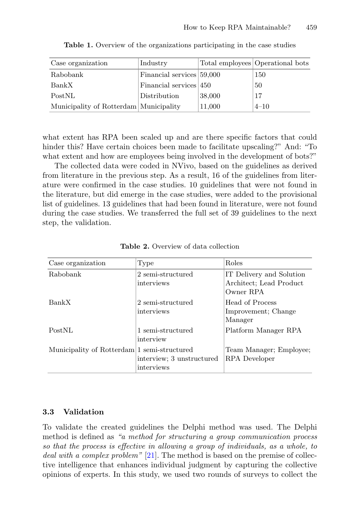| Case organization                      | Industry                  |        | Total employees Operational bots |
|----------------------------------------|---------------------------|--------|----------------------------------|
| Rabobank                               | Financial services 59,000 |        | 150                              |
| BankX                                  | Financial services 450    |        | 50                               |
| PostNL                                 | Distribution              | 38,000 | 17                               |
| Municipality of Rotterdam Municipality |                           | 11,000 | $4 - 10$                         |

<span id="page-6-1"></span>**Table 1.** Overview of the organizations participating in the case studies

what extent has RPA been scaled up and are there specific factors that could hinder this? Have certain choices been made to facilitate upscaling?" And: "To what extent and how are employees being involved in the development of bots?"

The collected data were coded in NVivo, based on the guidelines as derived from literature in the previous step. As a result, 16 of the guidelines from literature were confirmed in the case studies. 10 guidelines that were not found in the literature, but did emerge in the case studies, were added to the provisional list of guidelines. 13 guidelines that had been found in literature, were not found during the case studies. We transferred the full set of 39 guidelines to the next step, the validation.

| Case organization                           | Type                                    | Roles                                                            |
|---------------------------------------------|-----------------------------------------|------------------------------------------------------------------|
| Rabobank                                    | 2 semi-structured<br>interviews         | IT Delivery and Solution<br>Architect; Lead Product<br>Owner RPA |
| BankX                                       | 2 semi-structured<br>interviews         | Head of Process<br>Improvement; Change<br>Manager                |
| Post <sub>NL</sub>                          | 1 semi-structured<br>interview          | Platform Manager RPA                                             |
| Municipality of Rotterdam 1 semi-structured | interview; 3 unstructured<br>interviews | Team Manager; Employee;<br>RPA Developer                         |

<span id="page-6-2"></span>**Table 2.** Overview of data collection

#### <span id="page-6-0"></span>**3.3 Validation**

To validate the created guidelines the Delphi method was used. The Delphi method is defined as *"a method for structuring a group communication process so that the process is effective in allowing a group of individuals, as a whole, to deal with a complex problem"* [\[21\]](#page-16-8). The method is based on the premise of collective intelligence that enhances individual judgment by capturing the collective opinions of experts. In this study, we used two rounds of surveys to collect the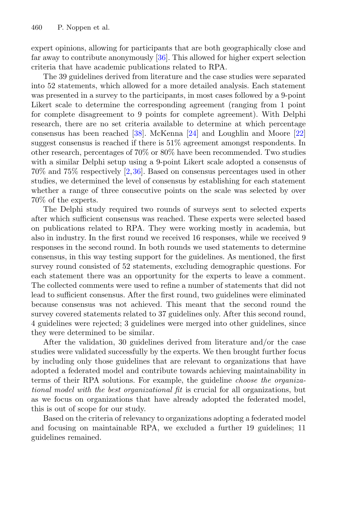expert opinions, allowing for participants that are both geographically close and far away to contribute anonymously [\[36\]](#page-16-9). This allowed for higher expert selection criteria that have academic publications related to RPA.

The 39 guidelines derived from literature and the case studies were separated into 52 statements, which allowed for a more detailed analysis. Each statement was presented in a survey to the participants, in most cases followed by a 9-point Likert scale to determine the corresponding agreement (ranging from 1 point for complete disagreement to 9 points for complete agreement). With Delphi research, there are no set criteria available to determine at which percentage consensus has been reached [\[38\]](#page-16-10). McKenna [\[24\]](#page-16-11) and Loughlin and Moore [\[22](#page-16-12)] suggest consensus is reached if there is 51% agreement amongst respondents. In other research, percentages of 70% or 80% have been recommended. Two studies with a similar Delphi setup using a 9-point Likert scale adopted a consensus of 70% and 75% respectively [\[2](#page-15-6)[,36](#page-16-9)]. Based on consensus percentages used in other studies, we determined the level of consensus by establishing for each statement whether a range of three consecutive points on the scale was selected by over 70% of the experts.

The Delphi study required two rounds of surveys sent to selected experts after which sufficient consensus was reached. These experts were selected based on publications related to RPA. They were working mostly in academia, but also in industry. In the first round we received 16 responses, while we received 9 responses in the second round. In both rounds we used statements to determine consensus, in this way testing support for the guidelines. As mentioned, the first survey round consisted of 52 statements, excluding demographic questions. For each statement there was an opportunity for the experts to leave a comment. The collected comments were used to refine a number of statements that did not lead to sufficient consensus. After the first round, two guidelines were eliminated because consensus was not achieved. This meant that the second round the survey covered statements related to 37 guidelines only. After this second round, 4 guidelines were rejected; 3 guidelines were merged into other guidelines, since they were determined to be similar.

After the validation, 30 guidelines derived from literature and/or the case studies were validated successfully by the experts. We then brought further focus by including only those guidelines that are relevant to organizations that have adopted a federated model and contribute towards achieving maintainability in terms of their RPA solutions. For example, the guideline *choose the organizational model with the best organizational fit* is crucial for all organizations, but as we focus on organizations that have already adopted the federated model, this is out of scope for our study.

Based on the criteria of relevancy to organizations adopting a federated model and focusing on maintainable RPA, we excluded a further 19 guidelines; 11 guidelines remained.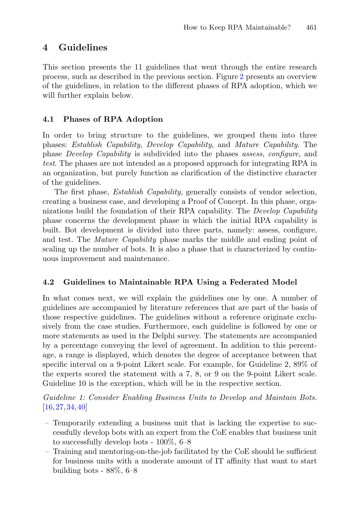## <span id="page-8-0"></span>**4 Guidelines**

This section presents the 11 guidelines that went through the entire research process, such as described in the previous section. Figure [2](#page-9-0) presents an overview of the guidelines, in relation to the different phases of RPA adoption, which we will further explain below.

### **4.1 Phases of RPA Adoption**

In order to bring structure to the guidelines, we grouped them into three phases: *Establish Capability*, *Develop Capability*, and *Mature Capability*. The phase *Develop Capability* is subdivided into the phases *assess*, *configure*, and *test*. The phases are not intended as a proposed approach for integrating RPA in an organization, but purely function as clarification of the distinctive character of the guidelines.

The first phase, *Establish Capability*, generally consists of vendor selection, creating a business case, and developing a Proof of Concept. In this phase, organizations build the foundation of their RPA capability. The *Develop Capability* phase concerns the development phase in which the initial RPA capability is built. Bot development is divided into three parts, namely: assess, configure, and test. The *Mature Capability* phase marks the middle and ending point of scaling up the number of bots. It is also a phase that is characterized by continuous improvement and maintenance.

### **4.2 Guidelines to Maintainable RPA Using a Federated Model**

In what comes next, we will explain the guidelines one by one. A number of guidelines are accompanied by literature references that are part of the basis of those respective guidelines. The guidelines without a reference originate exclusively from the case studies. Furthermore, each guideline is followed by one or more statements as used in the Delphi survey. The statements are accompanied by a percentage conveying the level of agreement. In addition to this percentage, a range is displayed, which denotes the degree of acceptance between that specific interval on a 9-point Likert scale. For example, for Guideline 2, 89% of the experts scored the statement with a 7, 8, or 9 on the 9-point Likert scale. Guideline 10 is the exception, which will be in the respective section.

*Guideline 1: Consider Enabling Business Units to Develop and Maintain Bots.* [\[16](#page-15-1)[,27](#page-16-3),[34,](#page-16-0)[40](#page-17-2)]

- Temporarily extending a business unit that is lacking the expertise to successfully develop bots with an expert from the CoE enables that business unit to successfully develop bots - 100%, 6–8
- Training and mentoring-on-the-job facilitated by the CoE should be sufficient for business units with a moderate amount of IT affinity that want to start building bots - 88%, 6–8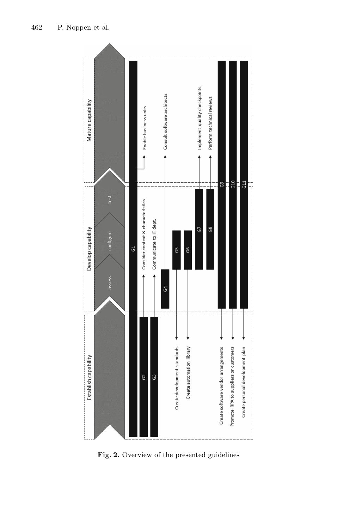

<span id="page-9-0"></span>**Fig. 2.** Overview of the presented guidelines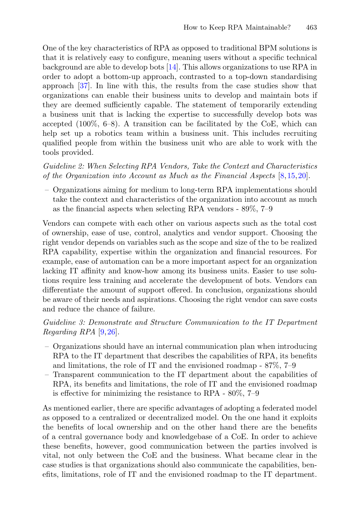One of the key characteristics of RPA as opposed to traditional BPM solutions is that it is relatively easy to configure, meaning users without a specific technical background are able to develop bots [\[14](#page-15-7)]. This allows organizations to use RPA in order to adopt a bottom-up approach, contrasted to a top-down standardising approach [\[37\]](#page-16-13). In line with this, the results from the case studies show that organizations can enable their business units to develop and maintain bots if they are deemed sufficiently capable. The statement of temporarily extending a business unit that is lacking the expertise to successfully develop bots was accepted (100%, 6–8). A transition can be facilitated by the CoE, which can help set up a robotics team within a business unit. This includes recruiting qualified people from within the business unit who are able to work with the tools provided.

*Guideline 2: When Selecting RPA Vendors, Take the Context and Characteristics of the Organization into Account as Much as the Financial Aspects* [\[8](#page-15-8),[15,](#page-15-9)[20\]](#page-16-1).

– Organizations aiming for medium to long-term RPA implementations should take the context and characteristics of the organization into account as much as the financial aspects when selecting RPA vendors - 89%, 7–9

Vendors can compete with each other on various aspects such as the total cost of ownership, ease of use, control, analytics and vendor support. Choosing the right vendor depends on variables such as the scope and size of the to be realized RPA capability, expertise within the organization and financial resources. For example, ease of automation can be a more important aspect for an organization lacking IT affinity and know-how among its business units. Easier to use solutions require less training and accelerate the development of bots. Vendors can differentiate the amount of support offered. In conclusion, organizations should be aware of their needs and aspirations. Choosing the right vendor can save costs and reduce the chance of failure.

*Guideline 3: Demonstrate and Structure Communication to the IT Department Regarding RPA* [\[9](#page-15-10)[,26](#page-16-14)].

- Organizations should have an internal communication plan when introducing RPA to the IT department that describes the capabilities of RPA, its benefits and limitations, the role of IT and the envisioned roadmap - 87%, 7–9
- Transparent communication to the IT department about the capabilities of RPA, its benefits and limitations, the role of IT and the envisioned roadmap is effective for minimizing the resistance to RPA - 80%, 7–9

As mentioned earlier, there are specific advantages of adopting a federated model as opposed to a centralized or decentralized model. On the one hand it exploits the benefits of local ownership and on the other hand there are the benefits of a central governance body and knowledgebase of a CoE. In order to achieve these benefits, however, good communication between the parties involved is vital, not only between the CoE and the business. What became clear in the case studies is that organizations should also communicate the capabilities, benefits, limitations, role of IT and the envisioned roadmap to the IT department.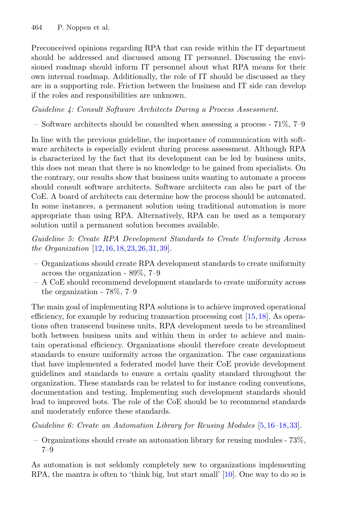Preconceived opinions regarding RPA that can reside within the IT department should be addressed and discussed among IT personnel. Discussing the envisioned roadmap should inform IT personnel about what RPA means for their own internal roadmap. Additionally, the role of IT should be discussed as they are in a supporting role. Friction between the business and IT side can develop if the roles and responsibilities are unknown.

*Guideline 4: Consult Software Architects During a Process Assessment.*

– Software architects should be consulted when assessing a process -  $71\%$ ,  $7-9$ 

In line with the previous guideline, the importance of communication with software architects is especially evident during process assessment. Although RPA is characterized by the fact that its development can be led by business units, this does not mean that there is no knowledge to be gained from specialists. On the contrary, our results show that business units wanting to automate a process should consult software architects. Software architects can also be part of the CoE. A board of architects can determine how the process should be automated. In some instances, a permanent solution using traditional automation is more appropriate than using RPA. Alternatively, RPA can be used as a temporary solution until a permanent solution becomes available.

*Guideline 5: Create RPA Development Standards to Create Uniformity Across the Organization* [\[12](#page-15-11)[,16](#page-15-1)[,18](#page-15-12),[23,](#page-16-15)[26,](#page-16-14)[31](#page-16-16)[,39](#page-17-1)].

- Organizations should create RPA development standards to create uniformity across the organization - 89%, 7–9
- A CoE should recommend development standards to create uniformity across the organization - 78%, 7–9

The main goal of implementing RPA solutions is to achieve improved operational efficiency, for example by reducing transaction processing cost [\[15](#page-15-9)[,18](#page-15-12)]. As operations often transcend business units, RPA development needs to be streamlined both between business units and within them in order to achieve and maintain operational efficiency. Organizations should therefore create development standards to ensure uniformity across the organization. The case organizations that have implemented a federated model have their CoE provide development guidelines and standards to ensure a certain quality standard throughout the organization. These standards can be related to for instance coding conventions, documentation and testing. Implementing such development standards should lead to improved bots. The role of the CoE should be to recommend standards and moderately enforce these standards.

*Guideline 6: Create an Automation Library for Reusing Modules* [\[5](#page-15-13)[,16](#page-15-1)[–18](#page-15-12),[33\]](#page-16-17).

– Organizations should create an automation library for reusing modules - 73%, 7–9

As automation is not seldomly completely new to organizations implementing RPA, the mantra is often to 'think big, but start small' [\[10\]](#page-15-14). One way to do so is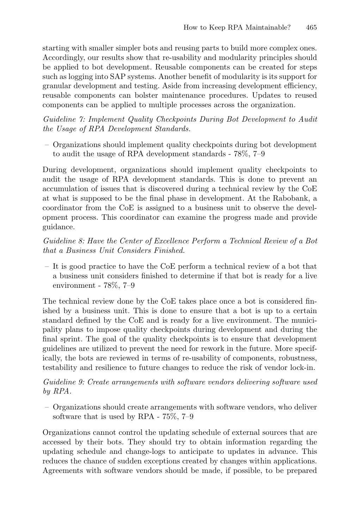starting with smaller simpler bots and reusing parts to build more complex ones. Accordingly, our results show that re-usability and modularity principles should be applied to bot development. Reusable components can be created for steps such as logging into SAP systems. Another benefit of modularity is its support for granular development and testing. Aside from increasing development efficiency, reusable components can bolster maintenance procedures. Updates to reused components can be applied to multiple processes across the organization.

*Guideline 7: Implement Quality Checkpoints During Bot Development to Audit the Usage of RPA Development Standards.*

– Organizations should implement quality checkpoints during bot development to audit the usage of RPA development standards - 78%, 7–9

During development, organizations should implement quality checkpoints to audit the usage of RPA development standards. This is done to prevent an accumulation of issues that is discovered during a technical review by the CoE at what is supposed to be the final phase in development. At the Rabobank, a coordinator from the CoE is assigned to a business unit to observe the development process. This coordinator can examine the progress made and provide guidance.

*Guideline 8: Have the Center of Excellence Perform a Technical Review of a Bot that a Business Unit Considers Finished.*

– It is good practice to have the CoE perform a technical review of a bot that a business unit considers finished to determine if that bot is ready for a live environment - 78%, 7–9

The technical review done by the CoE takes place once a bot is considered finished by a business unit. This is done to ensure that a bot is up to a certain standard defined by the CoE and is ready for a live environment. The municipality plans to impose quality checkpoints during development and during the final sprint. The goal of the quality checkpoints is to ensure that development guidelines are utilized to prevent the need for rework in the future. More specifically, the bots are reviewed in terms of re-usability of components, robustness, testability and resilience to future changes to reduce the risk of vendor lock-in.

#### *Guideline 9: Create arrangements with software vendors delivering software used by RPA.*

– Organizations should create arrangements with software vendors, who deliver software that is used by RPA - 75%, 7–9

Organizations cannot control the updating schedule of external sources that are accessed by their bots. They should try to obtain information regarding the updating schedule and change-logs to anticipate to updates in advance. This reduces the chance of sudden exceptions created by changes within applications. Agreements with software vendors should be made, if possible, to be prepared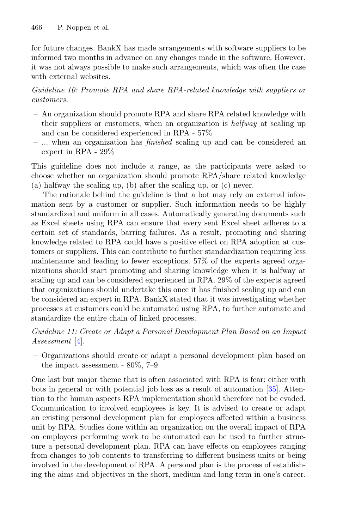for future changes. BankX has made arrangements with software suppliers to be informed two months in advance on any changes made in the software. However, it was not always possible to make such arrangements, which was often the case with external websites.

*Guideline 10: Promote RPA and share RPA-related knowledge with suppliers or customers.*

- An organization should promote RPA and share RPA related knowledge with their suppliers or customers, when an organization is *halfway* at scaling up and can be considered experienced in RPA - 57%
- ... when an organization has *finished* scaling up and can be considered an expert in RPA - 29%

This guideline does not include a range, as the participants were asked to choose whether an organization should promote RPA/share related knowledge (a) halfway the scaling up, (b) after the scaling up, or (c) never.

The rationale behind the guideline is that a bot may rely on external information sent by a customer or supplier. Such information needs to be highly standardized and uniform in all cases. Automatically generating documents such as Excel sheets using RPA can ensure that every sent Excel sheet adheres to a certain set of standards, barring failures. As a result, promoting and sharing knowledge related to RPA could have a positive effect on RPA adoption at customers or suppliers. This can contribute to further standardization requiring less maintenance and leading to fewer exceptions. 57% of the experts agreed organizations should start promoting and sharing knowledge when it is halfway at scaling up and can be considered experienced in RPA. 29% of the experts agreed that organizations should undertake this once it has finished scaling up and can be considered an expert in RPA. BankX stated that it was investigating whether processes at customers could be automated using RPA, to further automate and standardize the entire chain of linked processes.

*Guideline 11: Create or Adapt a Personal Development Plan Based on an Impact Assessment* [\[4](#page-15-15)].

– Organizations should create or adapt a personal development plan based on the impact assessment - 80%, 7–9

One last but major theme that is often associated with RPA is fear: either with bots in general or with potential job loss as a result of automation [\[35\]](#page-16-18). Attention to the human aspects RPA implementation should therefore not be evaded. Communication to involved employees is key. It is advised to create or adapt an existing personal development plan for employees affected within a business unit by RPA. Studies done within an organization on the overall impact of RPA on employees performing work to be automated can be used to further structure a personal development plan. RPA can have effects on employees ranging from changes to job contents to transferring to different business units or being involved in the development of RPA. A personal plan is the process of establishing the aims and objectives in the short, medium and long term in one's career.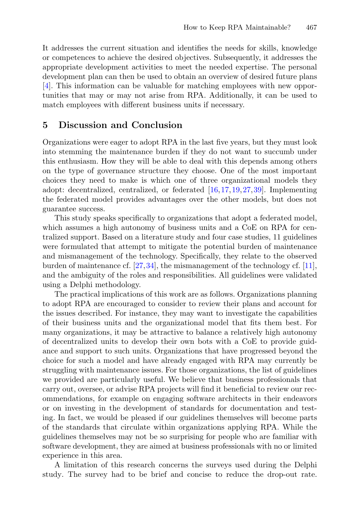It addresses the current situation and identifies the needs for skills, knowledge or competences to achieve the desired objectives. Subsequently, it addresses the appropriate development activities to meet the needed expertise. The personal development plan can then be used to obtain an overview of desired future plans [\[4](#page-15-15)]. This information can be valuable for matching employees with new opportunities that may or may not arise from RPA. Additionally, it can be used to match employees with different business units if necessary.

### <span id="page-14-0"></span>**5 Discussion and Conclusion**

Organizations were eager to adopt RPA in the last five years, but they must look into stemming the maintenance burden if they do not want to succumb under this enthusiasm. How they will be able to deal with this depends among others on the type of governance structure they choose. One of the most important choices they need to make is which one of three organizational models they adopt: decentralized, centralized, or federated [\[16](#page-15-1)[,17](#page-15-16)[,19](#page-16-19),[27,](#page-16-3)[39\]](#page-17-1). Implementing the federated model provides advantages over the other models, but does not guarantee success.

This study speaks specifically to organizations that adopt a federated model, which assumes a high autonomy of business units and a CoE on RPA for centralized support. Based on a literature study and four case studies, 11 guidelines were formulated that attempt to mitigate the potential burden of maintenance and mismanagement of the technology. Specifically, they relate to the observed burden of maintenance cf. [\[27](#page-16-3)[,34](#page-16-0)], the mismanagement of the technology cf. [\[11\]](#page-15-17), and the ambiguity of the roles and responsibilities. All guidelines were validated using a Delphi methodology.

The practical implications of this work are as follows. Organizations planning to adopt RPA are encouraged to consider to review their plans and account for the issues described. For instance, they may want to investigate the capabilities of their business units and the organizational model that fits them best. For many organizations, it may be attractive to balance a relatively high autonomy of decentralized units to develop their own bots with a CoE to provide guidance and support to such units. Organizations that have progressed beyond the choice for such a model and have already engaged with RPA may currently be struggling with maintenance issues. For those organizations, the list of guidelines we provided are particularly useful. We believe that business professionals that carry out, oversee, or advise RPA projects will find it beneficial to review our recommendations, for example on engaging software architects in their endeavors or on investing in the development of standards for documentation and testing. In fact, we would be pleased if our guidelines themselves will become parts of the standards that circulate within organizations applying RPA. While the guidelines themselves may not be so surprising for people who are familiar with software development, they are aimed at business professionals with no or limited experience in this area.

A limitation of this research concerns the surveys used during the Delphi study. The survey had to be brief and concise to reduce the drop-out rate.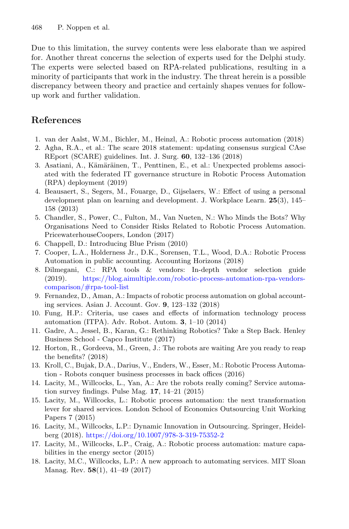Due to this limitation, the survey contents were less elaborate than we aspired for. Another threat concerns the selection of experts used for the Delphi study. The experts were selected based on RPA-related publications, resulting in a minority of participants that work in the industry. The threat herein is a possible discrepancy between theory and practice and certainly shapes venues for followup work and further validation.

## **References**

- <span id="page-15-0"></span>1. van der Aalst, W.M., Bichler, M., Heinzl, A.: Robotic process automation (2018)
- <span id="page-15-6"></span>2. Agha, R.A., et al.: The scare 2018 statement: updating consensus surgical CAse REport (SCARE) guidelines. Int. J. Surg. **60**, 132–136 (2018)
- <span id="page-15-3"></span>3. Asatiani, A., Kämäräinen, T., Penttinen, E., et al.: Unexpected problems associated with the federated IT governance structure in Robotic Process Automation (RPA) deployment (2019)
- <span id="page-15-15"></span>4. Beausaert, S., Segers, M., Fouarge, D., Gijselaers, W.: Effect of using a personal development plan on learning and development. J. Workplace Learn. **25**(3), 145– 158 (2013)
- <span id="page-15-13"></span>5. Chandler, S., Power, C., Fulton, M., Van Nueten, N.: Who Minds the Bots? Why Organisations Need to Consider Risks Related to Robotic Process Automation. PricewaterhouseCoopers, London (2017)
- <span id="page-15-4"></span>6. Chappell, D.: Introducing Blue Prism (2010)
- <span id="page-15-5"></span>7. Cooper, L.A., Holderness Jr., D.K., Sorensen, T.L., Wood, D.A.: Robotic Process Automation in public accounting. Accounting Horizons (2018)
- <span id="page-15-8"></span>8. Dilmegani, C.: RPA tools & vendors: In-depth vendor selection guide (2019). [https://blog.aimultiple.com/robotic-process-automation-rpa-vendors](https://blog.aimultiple.com/robotic-process-automation-rpa-vendors-comparison/#rpa-tool-list)[comparison/#rpa-tool-list](https://blog.aimultiple.com/robotic-process-automation-rpa-vendors-comparison/#rpa-tool-list)
- <span id="page-15-10"></span>9. Fernandez, D., Aman, A.: Impacts of robotic process automation on global accounting services. Asian J. Account. Gov. **9**, 123–132 (2018)
- <span id="page-15-14"></span>10. Fung, H.P.: Criteria, use cases and effects of information technology process automation (ITPA). Adv. Robot. Autom. **3**, 1–10 (2014)
- <span id="page-15-17"></span>11. Gadre, A., Jessel, B., Karan, G.: Rethinking Robotics? Take a Step Back. Henley Business School - Capco Institute (2017)
- <span id="page-15-11"></span>12. Horton, R., Gordeeva, M., Green, J.: The robots are waiting Are you ready to reap the benefits? (2018)
- <span id="page-15-2"></span>13. Kroll, C., Bujak, D.A., Darius, V., Enders, W., Esser, M.: Robotic Process Automation - Robots conquer business processes in back offices (2016)
- <span id="page-15-7"></span>14. Lacity, M., Willcocks, L., Yan, A.: Are the robots really coming? Service automation survey findings. Pulse Mag. **17**, 14–21 (2015)
- <span id="page-15-9"></span>15. Lacity, M., Willcocks, L.: Robotic process automation: the next transformation lever for shared services. London School of Economics Outsourcing Unit Working Papers 7 (2015)
- <span id="page-15-1"></span>16. Lacity, M., Willcocks, L.P.: Dynamic Innovation in Outsourcing. Springer, Heidelberg (2018). <https://doi.org/10.1007/978-3-319-75352-2>
- <span id="page-15-16"></span>17. Lacity, M., Willcocks, L.P., Craig, A.: Robotic process automation: mature capabilities in the energy sector (2015)
- <span id="page-15-12"></span>18. Lacity, M.C., Willcocks, L.P.: A new approach to automating services. MIT Sloan Manag. Rev. **58**(1), 41–49 (2017)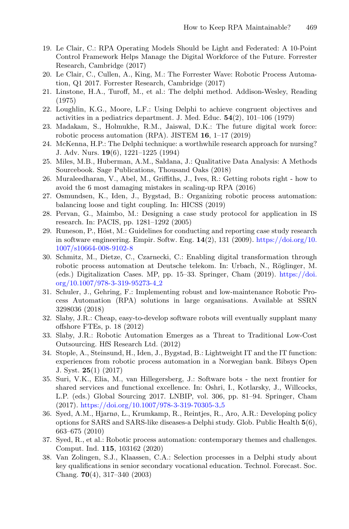- <span id="page-16-19"></span>19. Le Clair, C.: RPA Operating Models Should be Light and Federated: A 10-Point Control Framework Helps Manage the Digital Workforce of the Future. Forrester Research, Cambridge (2017)
- <span id="page-16-1"></span>20. Le Clair, C., Cullen, A., King, M.: The Forrester Wave: Robotic Process Automation, Q1 2017. Forrester Research, Cambridge (2017)
- <span id="page-16-8"></span>21. Linstone, H.A., Turoff, M., et al.: The delphi method. Addison-Wesley, Reading (1975)
- <span id="page-16-12"></span>22. Loughlin, K.G., Moore, L.F.: Using Delphi to achieve congruent objectives and activities in a pediatrics department. J. Med. Educ. **54**(2), 101–106 (1979)
- <span id="page-16-15"></span>23. Madakam, S., Holmukhe, R.M., Jaiswal, D.K.: The future digital work force: robotic process automation (RPA). JISTEM **16**, 1–17 (2019)
- <span id="page-16-11"></span>24. McKenna, H.P.: The Delphi technique: a worthwhile research approach for nursing? J. Adv. Nurs. **19**(6), 1221–1225 (1994)
- <span id="page-16-7"></span>25. Miles, M.B., Huberman, A.M., Saldana, J.: Qualitative Data Analysis: A Methods Sourcebook. Sage Publications, Thousand Oaks (2018)
- <span id="page-16-14"></span>26. Muraleedharan, V., Abel, M., Griffiths, J., Ives, R.: Getting robots right - how to avoid the 6 most damaging mistakes in scaling-up RPA (2016)
- <span id="page-16-3"></span>27. Osmundsen, K., Iden, J., Bygstad, B.: Organizing robotic process automation: balancing loose and tight coupling. In: HICSS (2019)
- <span id="page-16-6"></span>28. Pervan, G., Maimbo, M.: Designing a case study protocol for application in IS research. In: PACIS, pp. 1281–1292 (2005)
- <span id="page-16-5"></span>29. Runeson, P., Höst, M.: Guidelines for conducting and reporting case study research in software engineering. Empir. Softw. Eng. **14**(2), 131 (2009). [https://doi.org/10.](https://doi.org/10.1007/s10664-008-9102-8) [1007/s10664-008-9102-8](https://doi.org/10.1007/s10664-008-9102-8)
- <span id="page-16-2"></span>30. Schmitz, M., Dietze, C., Czarnecki, C.: Enabling digital transformation through robotic process automation at Deutsche telekom. In: Urbach, N., Röglinger, M. (eds.) Digitalization Cases. MP, pp. 15–33. Springer, Cham (2019). [https://doi.](https://doi.org/10.1007/978-3-319-95273-4_2) [org/10.1007/978-3-319-95273-4](https://doi.org/10.1007/978-3-319-95273-4_2) 2
- <span id="page-16-16"></span>31. Schuler, J., Gehring, F.: Implementing robust and low-maintenance Robotic Process Automation (RPA) solutions in large organisations. Available at SSRN 3298036 (2018)
- <span id="page-16-4"></span>32. Slaby, J.R.: Cheap, easy-to-develop software robots will eventually supplant many offshore FTEs, p. 18 (2012)
- <span id="page-16-17"></span>33. Slaby, J.R.: Robotic Automation Emerges as a Threat to Traditional Low-Cost Outsourcing. HfS Research Ltd. (2012)
- <span id="page-16-0"></span>34. Stople, A., Steinsund, H., Iden, J., Bygstad, B.: Lightweight IT and the IT function: experiences from robotic process automation in a Norwegian bank. Bibsys Open J. Syst. **25**(1) (2017)
- <span id="page-16-18"></span>35. Suri, V.K., Elia, M., van Hillegersberg, J.: Software bots - the next frontier for shared services and functional excellence. In: Oshri, I., Kotlarsky, J., Willcocks, L.P. (eds.) Global Sourcing 2017. LNBIP, vol. 306, pp. 81–94. Springer, Cham  $(2017)$ . [https://doi.org/10.1007/978-3-319-70305-3](https://doi.org/10.1007/978-3-319-70305-3_5)<sub>-5</sub>
- <span id="page-16-9"></span>36. Syed, A.M., Hjarnø, L., Krumkamp, R., Reintjes, R., Aro, A.R.: Developing policy options for SARS and SARS-like diseases-a Delphi study. Glob. Public Health **5**(6), 663–675 (2010)
- <span id="page-16-13"></span>37. Syed, R., et al.: Robotic process automation: contemporary themes and challenges. Comput. Ind. **115**, 103162 (2020)
- <span id="page-16-10"></span>38. Van Zolingen, S.J., Klaassen, C.A.: Selection processes in a Delphi study about key qualifications in senior secondary vocational education. Technol. Forecast. Soc. Chang. **70**(4), 317–340 (2003)